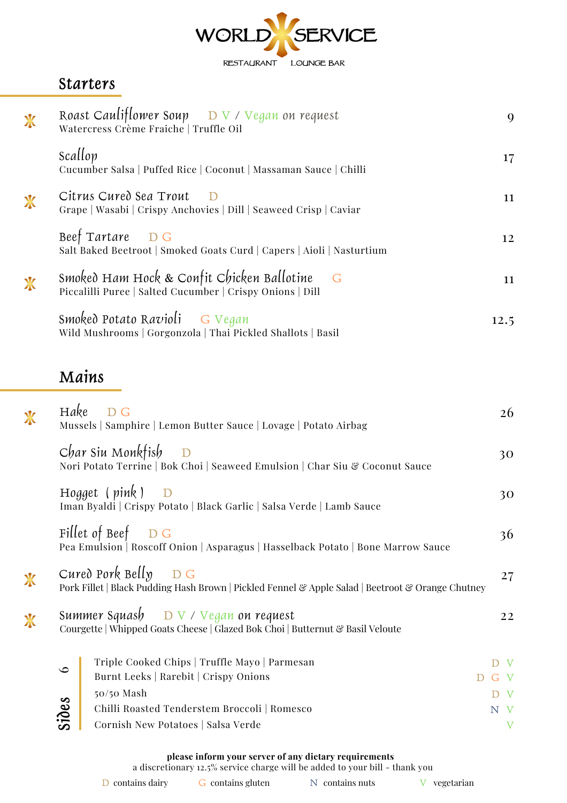

#### **Starters**

| $\mathbf{\hat{X}}$          | Roast Cauliflower Soup $\Box$ $\nabla$ / Vegan on request<br>Watercress Crème Fraiche   Truffle Oil             | 9    |
|-----------------------------|-----------------------------------------------------------------------------------------------------------------|------|
|                             | Scallop<br>Cucumber Salsa   Puffed Rice   Coconut   Massaman Sauce   Chilli                                     | 17   |
| $\mathbf{\mathbf{\hat{X}}}$ | Citrus Cured Sea Trout<br>$\Box$<br>Grape   Wasabi   Crispy Anchovies   Dill   Seaweed Crisp   Caviar           | 11   |
|                             | Beef Tartare DG<br>Salt Baked Beetroot   Smoked Goats Curd   Capers   Aioli   Nasturtium                        | 12   |
| $\mathbf{\hat{X}}$          | Smoked Ham Hock & Confit Chicken Ballotine<br>$-G$<br>Piccalilli Puree   Salted Cucumber   Crispy Onions   Dill | 11   |
|                             | Smoked Potato Ravioli G Vegan<br>Wild Mushrooms   Gorgonzola   Thai Pickled Shallots   Basil                    | 12.5 |

# **Mains**

| $\mathbf{\mathbf{\hat{X}}}$ | Hake    | D G<br>Mussels   Samphire   Lemon Butter Sauce   Lovage   Potato Airbag                                                           | 26           |
|-----------------------------|---------|-----------------------------------------------------------------------------------------------------------------------------------|--------------|
|                             |         | Char Siu Monkfish<br>$\mathbf{D}$<br>Nori Potato Terrine   Bok Choi   Seaweed Emulsion   Char Siu & Coconut Sauce                 | 30           |
|                             |         | Hogget $(\text{pink})$ D<br>Iman Byaldi   Crispy Potato   Black Garlic   Salsa Verde   Lamb Sauce                                 | 30           |
|                             |         | Fillet of Beef $\Box$ G<br>Pea Emulsion   Roscoff Onion   Asparagus   Hasselback Potato   Bone Marrow Sauce                       | 36           |
| $\chi$                      |         | Cured Pork Belly $D G$<br>Pork Fillet   Black Pudding Hash Brown   Pickled Fennel & Apple Salad   Beetroot & Orange Chutney       | 27           |
| $\mathbf x$                 |         | Summer Squash $D \vee \vee \vee$ Dan on request<br>Courgette   Whipped Goats Cheese   Glazed Bok Choi   Butternut & Basil Veloute | 22           |
|                             | $\circ$ | Triple Cooked Chips   Truffle Mayo   Parmesan                                                                                     | $\mathbf{V}$ |
|                             |         | Burnt Leeks   Rarebit   Crispy Onions                                                                                             | G V          |
|                             |         | 50/50 Mash                                                                                                                        | D V          |
|                             | Sides   | Chilli Roasted Tenderstem Broccoli   Romesco                                                                                      | N V          |
|                             |         | Cornish New Potatoes   Salsa Verde                                                                                                | $\mathbf{V}$ |
|                             |         |                                                                                                                                   |              |

**please inform your server of any dietary requirements**

a discretionary 12.5% service charge will be added to your bill - thank you